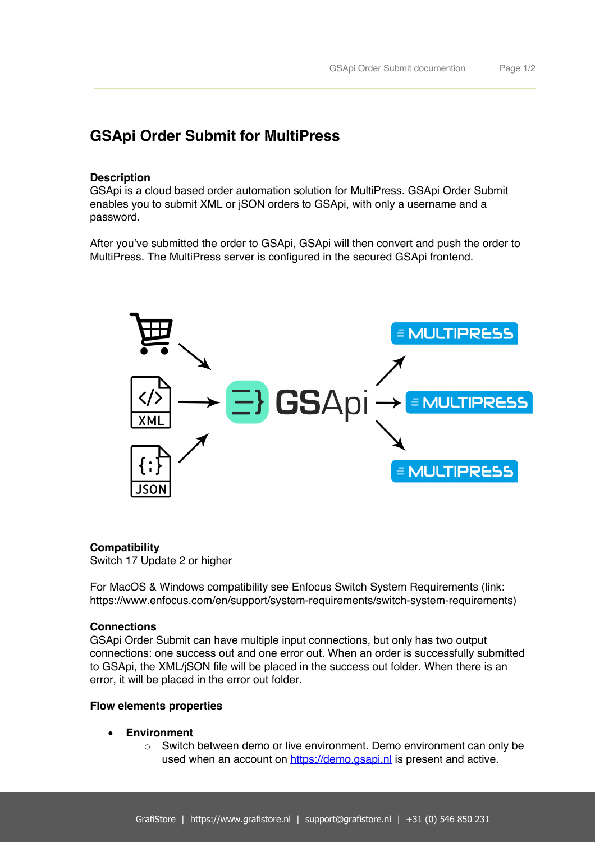# **GSApi Order Submit for MultiPress**

# **Description**

GSApi is a cloud based order automation solution for MultiPress. GSApi Order Submit enables you to submit XML or jSON orders to GSApi, with only a username and a password.

After you've submitted the order to GSApi, GSApi will then convert and push the order to MultiPress. The MultiPress server is configured in the secured GSApi frontend.



#### **Compatibility**

Switch 17 Update 2 or higher

For MacOS & Windows compatibility see Enfocus Switch System Requirements (link: https://www.enfocus.com/en/support/system-requirements/switch-system-requirements)

#### **Connections**

GSApi Order Submit can have multiple input connections, but only has two output connections: one success out and one error out. When an order is successfully submitted to GSApi, the XML/jSON file will be placed in the success out folder. When there is an error, it will be placed in the error out folder.

### **Flow elements properties**

- **Environment**
	- $\circ$  Switch between demo or live environment. Demo environment can only be used when an account on https://demo.gsapi.nl is present and active.